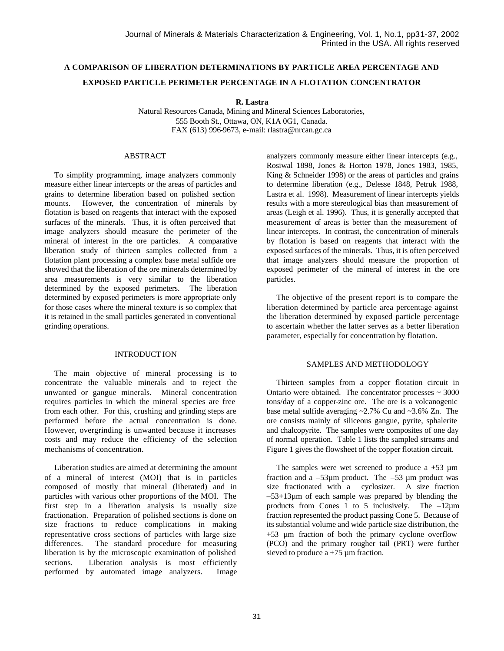# **A COMPARISON OF LIBERATION DETERMINATIONS BY PARTICLE AREA PERCENTAGE AND EXPOSED PARTICLE PERIMETER PERCENTAGE IN A FLOTATION CONCENTRATOR**

**R. Lastra**

Natural Resources Canada, Mining and Mineral Sciences Laboratories, 555 Booth St., Ottawa, ON, K1A 0G1, Canada. FAX (613) 996-9673, e-mail: rlastra@nrcan.gc.ca

## ABSTRACT

To simplify programming, image analyzers commonly measure either linear intercepts or the areas of particles and grains to determine liberation based on polished section mounts. However, the concentration of minerals by flotation is based on reagents that interact with the exposed surfaces of the minerals. Thus, it is often perceived that image analyzers should measure the perimeter of the mineral of interest in the ore particles. A comparative liberation study of thirteen samples collected from a flotation plant processing a complex base metal sulfide ore showed that the liberation of the ore minerals determined by area measurements is very similar to the liberation determined by the exposed perimeters. The liberation determined by exposed perimeters is more appropriate only for those cases where the mineral texture is so complex that it is retained in the small particles generated in conventional grinding operations.

## INTRODUCT ION

The main objective of mineral processing is to concentrate the valuable minerals and to reject the unwanted or gangue minerals. Mineral concentration requires particles in which the mineral species are free from each other. For this, crushing and grinding steps are performed before the actual concentration is done. However, overgrinding is unwanted because it increases costs and may reduce the efficiency of the selection mechanisms of concentration.

Liberation studies are aimed at determining the amount of a mineral of interest (MOI) that is in particles composed of mostly that mineral (liberated) and in particles with various other proportions of the MOI. The first step in a liberation analysis is usually size fractionation. Preparation of polished sections is done on size fractions to reduce complications in making representative cross sections of particles with large size differences. The standard procedure for measuring The standard procedure for measuring liberation is by the microscopic examination of polished sections. Liberation analysis is most efficiently performed by automated image analyzers. Image analyzers commonly measure either linear intercepts (e.g., Rosiwal 1898, Jones & Horton 1978, Jones 1983, 1985, King & Schneider 1998) or the areas of particles and grains to determine liberation (e.g., Delesse 1848, Petruk 1988, Lastra et al. 1998). Measurement of linear intercepts yields results with a more stereological bias than measurement of areas (Leigh et al. 1996). Thus, it is generally accepted that measurement of areas is better than the measurement of linear intercepts. In contrast, the concentration of minerals by flotation is based on reagents that interact with the exposed surfaces of the minerals. Thus, it is often perceived that image analyzers should measure the proportion of exposed perimeter of the mineral of interest in the ore particles.

The objective of the present report is to compare the liberation determined by particle area percentage against the liberation determined by exposed particle percentage to ascertain whether the latter serves as a better liberation parameter, especially for concentration by flotation.

## SAMPLES AND METHODOLOGY

Thirteen samples from a copper flotation circuit in Ontario were obtained. The concentrator processes  $\sim$  3000 tons/day of a copper-zinc ore. The ore is a volcanogenic base metal sulfide averaging ~2.7% Cu and ~3.6% Zn. The ore consists mainly of siliceous gangue, pyrite, sphalerite and chalcopyrite. The samples were composites of one day of normal operation. Table 1 lists the sampled streams and Figure 1 gives the flowsheet of the copper flotation circuit.

The samples were wet screened to produce  $a + 53 \mu m$ fraction and a  $-53\mu$ m product. The  $-53 \mu$ m product was size fractionated with a cyclosizer. A size fraction –53+13µm of each sample was prepared by blending the products from Cones 1 to 5 inclusively. The  $-12\mu m$ fraction represented the product passing Cone 5. Because of its substantial volume and wide particle size distribution, the +53 µm fraction of both the primary cyclone overflow (PCO) and the primary rougher tail (PRT) were further sieved to produce  $a + 75 \mu m$  fraction.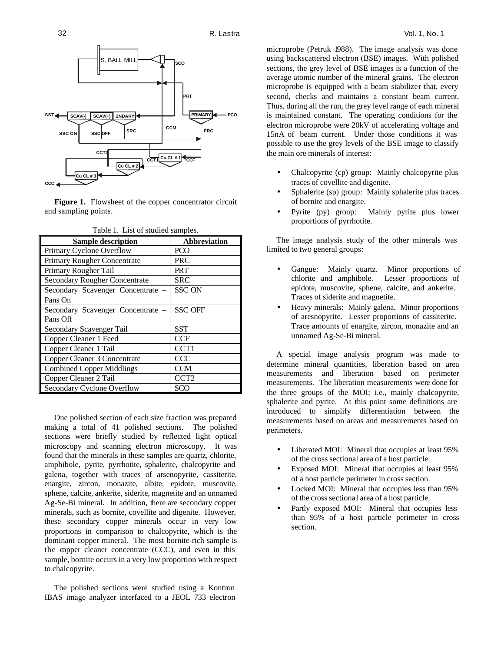

Figure 1. Flowsheet of the copper concentrator circuit and sampling points.

| <b>Sample description</b>            | <b>Abbreviation</b> |  |  |
|--------------------------------------|---------------------|--|--|
| Primary Cyclone Overflow             | PCO                 |  |  |
| Primary Rougher Concentrate          | PRC                 |  |  |
| Primary Rougher Tail                 | PRT                 |  |  |
| <b>Secondary Rougher Concentrate</b> | SRC                 |  |  |
| Secondary Scavenger Concentrate -    | <b>SSC ON</b>       |  |  |
| Pans On                              |                     |  |  |
| Secondary Scavenger Concentrate –    | <b>SSC OFF</b>      |  |  |
| Pans Off                             |                     |  |  |
| Secondary Scavenger Tail             | <b>SST</b>          |  |  |
| Copper Cleaner 1 Feed                | <b>CCF</b>          |  |  |
| Copper Cleaner 1 Tail                | CCT <sub>1</sub>    |  |  |
| Copper Cleaner 3 Concentrate         | CCC                 |  |  |
| <b>Combined Copper Middlings</b>     | <b>CCM</b>          |  |  |
| Copper Cleaner 2 Tail                | CCT <sub>2</sub>    |  |  |
| Secondary Cyclone Overflow           | SCO                 |  |  |

Table 1. List of studied samples.

One polished section of each size fraction was prepared making a total of 41 polished sections. The polished sections were briefly studied by reflected light optical microscopy and scanning electron microscopy. It was found that the minerals in these samples are quartz, chlorite, amphibole, pyrite, pyrrhotite, sphalerite, chalcopyrite and galena, together with traces of arsenopyrite, cassiterite, enargite, zircon, monazite, albite, epidote, muscovite, sphene, calcite, ankerite, siderite, magnetite and an unnamed Ag-Se-Bi mineral. In addition, there are secondary copper minerals, such as bornite, covellite and digenite. However, these secondary copper minerals occur in very low proportions in comparison to chalcopyrite, which is the dominant copper mineral. The most bornite-rich sample is the copper cleaner concentrate (CCC), and even in this sample, bornite occurs in a very low proportion with respect to chalcopyrite.

The polished sections were studied using a Kontron IBAS image analyzer interfaced to a JEOL 733 electron microprobe (Petruk 1988). The image analysis was done using backscattered electron (BSE) images. With polished sections, the grey level of BSE images is a function of the average atomic number of the mineral grains. The electron microprobe is equipped with a beam stabilizer that, every second, checks and maintains a constant beam current. Thus, during all the run, the grey level range of each mineral is maintained constant. The operating conditions for the electron microprobe were 20kV of accelerating voltage and 15nA of beam current. Under those conditions it was possible to use the grey levels of the BSE image to classify the main ore minerals of interest:

- Chalcopyrite (cp) group: Mainly chalcopyrite plus traces of covellite and digenite.
- Sphalerite (sp) group: Mainly sphalerite plus traces of bornite and enargite.
- Pyrite (py) group: Mainly pyrite plus lower proportions of pyrrhotite.

The image analysis study of the other minerals was limited to two general groups:

- Gangue: Mainly quartz. Minor proportions of chlorite and amphibole. Lesser proportions of epidote, muscovite, sphene, calcite, and ankerite. Traces of siderite and magnetite.
- Heavy minerals: Mainly galena. Minor proportions of aresnopyrite. Lesser proportions of cassiterite. Trace amounts of enargite, zircon, monazite and an unnamed Ag-Se-Bi mineral.

A special image analysis program was made to determine mineral quantities, liberation based on area measurements and liberation based on perimeter measurements. The liberation measurements were done for the three groups of the MOI; i.e., mainly chalcopyrite, sphalerite and pyrite. At this point some definitions are introduced to simplify differentiation between the measurements based on areas and measurements based on perimeters.

- Liberated MOI: Mineral that occupies at least 95% of the cross sectional area of a host particle.
- Exposed MOI: Mineral that occupies at least 95% of a host particle perimeter in cross section.
- Locked MOI: Mineral that occupies less than 95% of the cross sectional area of a host particle.
- Partly exposed MOI: Mineral that occupies less than 95% of a host particle perimeter in cross section.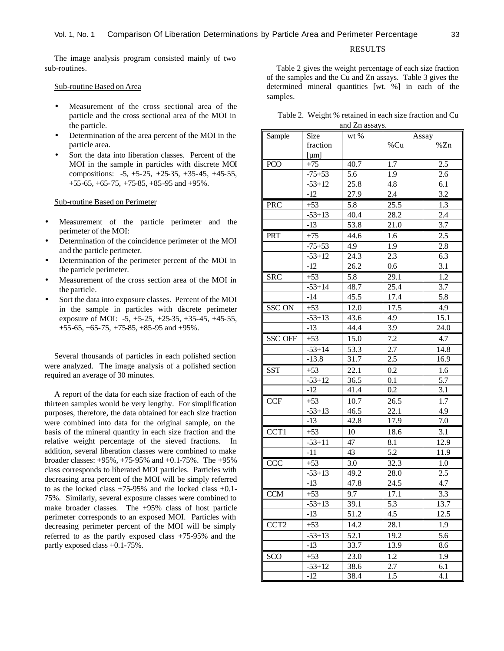### RESULTS

The image analysis program consisted mainly of two sub-routines.

### Sub-routine Based on Area

- Measurement of the cross sectional area of the particle and the cross sectional area of the MOI in the particle.
- Determination of the area percent of the MOI in the particle area.
- Sort the data into liberation classes. Percent of the MOI in the sample in particles with discrete MOI compositions: -5, +5-25, +25-35, +35-45, +45-55, +55-65, +65-75, +75-85, +85-95 and +95%.

#### Sub-routine Based on Perimeter

- Measurement of the particle perimeter and the perimeter of the MOI:
- Determination of the coincidence perimeter of the MOI and the particle perimeter.
- Determination of the perimeter percent of the MOI in the particle perimeter.
- Measurement of the cross section area of the MOI in the particle.
- Sort the data into exposure classes. Percent of the MOI in the sample in particles with discrete perimeter exposure of MOI: -5, +5-25, +25-35, +35-45, +45-55, +55-65, +65-75, +75-85, +85-95 and +95%.

Several thousands of particles in each polished section were analyzed. The image analysis of a polished section required an average of 30 minutes.

A report of the data for each size fraction of each of the thirteen samples would be very lengthy. For simplification purposes, therefore, the data obtained for each size fraction were combined into data for the original sample, on the basis of the mineral quantity in each size fraction and the relative weight percentage of the sieved fractions. In addition, several liberation classes were combined to make broader classes: +95%, +75-95% and +0.1-75%. The +95% class corresponds to liberated MOI particles. Particles with decreasing area percent of the MOI will be simply referred to as the locked class +75-95% and the locked class +0.1- 75%. Similarly, several exposure classes were combined to make broader classes. The +95% class of host particle perimeter corresponds to an exposed MOI. Particles with decreasing perimeter percent of the MOI will be simply referred to as the partly exposed class +75-95% and the partly exposed class +0.1-75%.

Table 2 gives the weight percentage of each size fraction of the samples and the Cu and Zn assays. Table 3 gives the determined mineral quantities [wt. %] in each of the samples.

|                | Table 2. Weight % retained in each size fraction and Cu |  |  |  |  |
|----------------|---------------------------------------------------------|--|--|--|--|
| and Zn assays. |                                                         |  |  |  |  |

|                  |            | and Zn assays. |       |      |  |
|------------------|------------|----------------|-------|------|--|
| Sample           | Size       | wt %           | Assay |      |  |
|                  | fraction   |                | %Cu   | %Zn  |  |
|                  | [µm]       |                |       |      |  |
| <b>PCO</b>       | $+75$      | 40.7           | 1.7   | 2.5  |  |
|                  | $-75+53$   | 5.6            | 1.9   | 2.6  |  |
|                  | $-53+12$   | 25.8           | 4.8   | 6.1  |  |
|                  | $-12$      | 27.9           | 2.4   | 3.2  |  |
| PRC              | $+53$      | 5.8            | 25.5  | 1.3  |  |
|                  | $-53+13$   | 40.4           | 28.2  | 2.4  |  |
|                  | $-13$      | 53.8           | 21.0  | 3.7  |  |
| PRT              | $+75$      | 44.6           | 1.6   | 2.5  |  |
|                  | $-75+53$   | 4.9            | 1.9   | 2.8  |  |
|                  | $-53+12$   | 24.3           | 2.3   | 6.3  |  |
|                  | $-12$      | 26.2           | 0.6   | 3.1  |  |
| <b>SRC</b>       | $+53$      | 5.8            | 29.1  | 1.2  |  |
|                  | $-53 + 14$ | 48.7           | 25.4  | 3.7  |  |
|                  | $-14$      | 45.5           | 17.4  | 5.8  |  |
| <b>SSC ON</b>    | $+53$      | 12.0           | 17.5  | 4.9  |  |
|                  | $-53+13$   | 43.6           | 4.9   | 15.1 |  |
|                  | $-13$      | 44.4           | 3.9   | 24.0 |  |
| <b>SSC OFF</b>   | $+53$      | 15.0           | 7.2   | 4.7  |  |
|                  | $-53 + 14$ | 53.3           | 2.7   | 14.8 |  |
|                  | $-13.8$    | 31.7           | 2.5   | 16.9 |  |
| <b>SST</b>       | $+53$      | 22.1           | 0.2   | 1.6  |  |
|                  | $-53+12$   | 36.5           | 0.1   | 5.7  |  |
|                  | $-12$      | 41.4           | 0.2   | 3.1  |  |
| <b>CCF</b>       | $+53$      | 10.7           | 26.5  | 1.7  |  |
|                  | $-53+13$   | 46.5           | 22.1  | 4.9  |  |
|                  | $-13$      | 42.8           | 17.9  | 7.0  |  |
| CCT1             | $+53$      | 10             | 18.6  | 3.1  |  |
|                  | $-53 + 11$ | 47             | 8.1   | 12.9 |  |
|                  | $-11$      | 43             | 5.2   | 11.9 |  |
| CCC              | $+53$      | 3.0            | 32.3  | 1.0  |  |
|                  | $-53+13$   | 49.2           | 28.0  | 2.5  |  |
|                  | $-13$      | 47.8           | 24.5  | 4.7  |  |
| <b>CCM</b>       | $+53$      | 9.7            | 17.1  | 3.3  |  |
|                  | $-53+13$   | 39.1           | 5.3   | 13.7 |  |
|                  | -13        | 51.2           | 4.5   | 12.5 |  |
| CCT <sub>2</sub> | $+53$      | 14.2           | 28.1  | 1.9  |  |
|                  | $-53+13$   | 52.1           | 19.2  | 5.6  |  |
|                  | $-13$      | 33.7           | 13.9  | 8.6  |  |
| SCO              | $+53$      | 23.0           | 1.2   | 1.9  |  |
|                  | $-53+12$   | 38.6           | 2.7   | 6.1  |  |
|                  | -12        | 38.4           | 1.5   | 4.1  |  |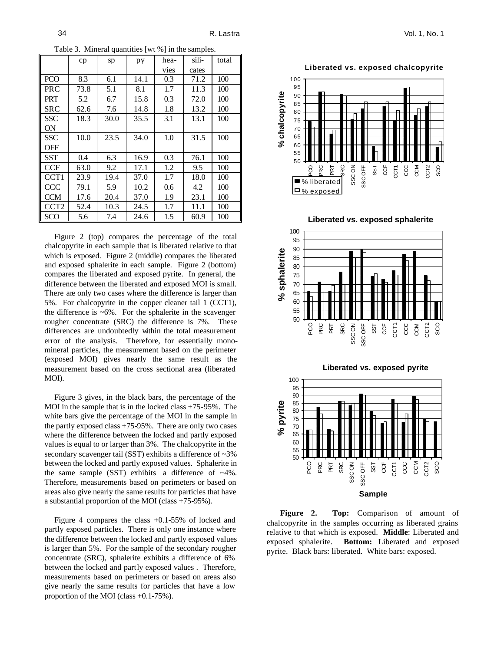Table 3. Mineral quantities [wt %] in the samples.

|                  | cp   | sp   | pу   | hea- | sili- | total |
|------------------|------|------|------|------|-------|-------|
|                  |      |      |      | vies | cates |       |
| <b>PCO</b>       | 8.3  | 6.1  | 14.1 | 0.3  | 71.2  | 100   |
| PRC              | 73.8 | 5.1  | 8.1  | 1.7  | 11.3  | 100   |
| <b>PRT</b>       | 5.2  | 6.7  | 15.8 | 0.3  | 72.0  | 100   |
| SRC              | 62.6 | 7.6  | 14.8 | 1.8  | 13.2  | 100   |
| <b>SSC</b>       | 18.3 | 30.0 | 35.5 | 3.1  | 13.1  | 100   |
| <b>ON</b>        |      |      |      |      |       |       |
| SSC              | 10.0 | 23.5 | 34.0 | 1.0  | 31.5  | 100   |
| OFF              |      |      |      |      |       |       |
| <b>SST</b>       | 0.4  | 6.3  | 16.9 | 0.3  | 76.1  | 100   |
| <b>CCF</b>       | 63.0 | 9.2  | 17.1 | 1.2  | 9.5   | 100   |
| CCT <sub>1</sub> | 23.9 | 19.4 | 37.0 | 1.7  | 18.0  | 100   |
| CCC              | 79.1 | 5.9  | 10.2 | 0.6  | 4.2   | 100   |
| <b>CCM</b>       | 17.6 | 20.4 | 37.0 | 1.9  | 23.1  | 100   |
| CCT <sub>2</sub> | 52.4 | 10.3 | 24.5 | 1.7  | 11.1  | 100   |
| SCO              | 5.6  | 7.4  | 24.6 | 1.5  | 60.9  | 100   |

Figure 2 (top) compares the percentage of the total chalcopyrite in each sample that is liberated relative to that which is exposed. Figure 2 (middle) compares the liberated and exposed sphalerite in each sample. Figure 2 (bottom) compares the liberated and exposed pyrite. In general, the difference between the liberated and exposed MOI is small. There are only two cases where the difference is larger than 5%. For chalcopyrite in the copper cleaner tail 1 (CCT1), the difference is  $~6\%$ . For the sphalerite in the scavenger rougher concentrate (SRC) the difference is 7%. These differences are undoubtedly within the total measurement error of the analysis. Therefore, for essentially monomineral particles, the measurement based on the perimeter (exposed MOI) gives nearly the same result as the measurement based on the cross sectional area (liberated MOI).

Figure 3 gives, in the black bars, the percentage of the MOI in the sample that is in the locked class +75-95%. The white bars give the percentage of the MOI in the sample in the partly exposed class +75-95%. There are only two cases where the difference between the locked and partly exposed values is equal to or larger than 3%. The chalcopyrite in the secondary scavenger tail (SST) exhibits a difference of  $\sim 3\%$ between the locked and partly exposed values. Sphalerite in the same sample  $(SST)$  exhibits a difference of  $~4\%$ . Therefore, measurements based on perimeters or based on areas also give nearly the same results for particles that have a substantial proportion of the MOI (class +75-95%).

Figure 4 compares the class +0.1-55% of locked and partly exposed particles. There is only one instance where the difference between the locked and partly exposed values is larger than 5%. For the sample of the secondary rougher concentrate (SRC), sphalerite exhibits a difference of 6% between the locked and partly exposed values . Therefore, measurements based on perimeters or based on areas also give nearly the same results for particles that have a low proportion of the MOI (class +0.1-75%).

**Liberated vs. exposed chalcopyrite**











 **Figure 2. Top:** Comparison of amount of chalcopyrite in the samples occurring as liberated grains relative to that which is exposed. **Middle**: Liberated and exposed sphalerite. **Bottom:** Liberated and exposed pyrite. Black bars: liberated. White bars: exposed.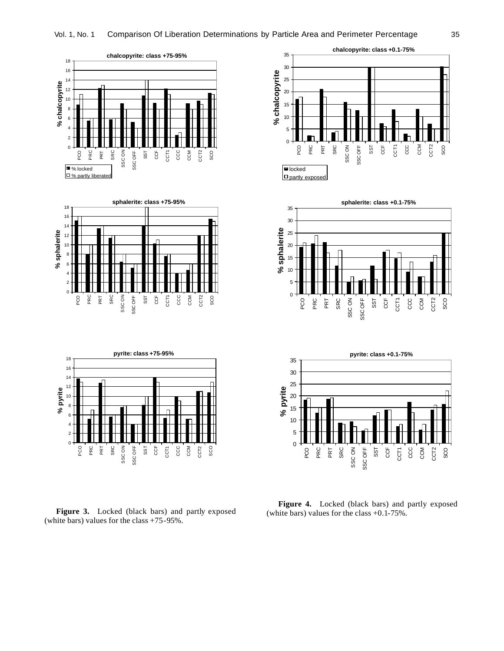





Figure 3. Locked (black bars) and partly exposed (white bars) values for the class +75-95%.







**Figure 4.** Locked (black bars) and partly exposed (white bars) values for the class +0.1-75%.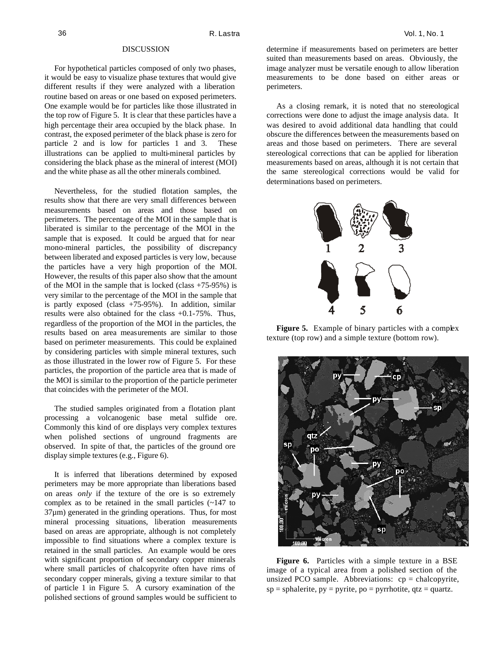#### DISCUSSION

For hypothetical particles composed of only two phases, it would be easy to visualize phase textures that would give different results if they were analyzed with a liberation routine based on areas or one based on exposed perimeters. One example would be for particles like those illustrated in the top row of Figure 5. It is clear that these particles have a high percentage their area occupied by the black phase. In contrast, the exposed perimeter of the black phase is zero for particle 2 and is low for particles 1 and 3. These illustrations can be applied to multi-mineral particles by considering the black phase as the mineral of interest (MOI) and the white phase as all the other minerals combined.

Nevertheless, for the studied flotation samples, the results show that there are very small differences between measurements based on areas and those based on perimeters. The percentage of the MOI in the sample that is liberated is similar to the percentage of the MOI in the sample that is exposed. It could be argued that for near mono-mineral particles, the possibility of discrepancy between liberated and exposed particles is very low, because the particles have a very high proportion of the MOI. However, the results of this paper also show that the amount of the MOI in the sample that is locked (class +75-95%) is very similar to the percentage of the MOI in the sample that is partly exposed (class +75-95%). In addition, similar results were also obtained for the class +0.1-75%. Thus, regardless of the proportion of the MOI in the particles, the results based on area measurements are similar to those based on perimeter measurements. This could be explained by considering particles with simple mineral textures, such as those illustrated in the lower row of Figure 5. For these particles, the proportion of the particle area that is made of the MOI is similar to the proportion of the particle perimeter that coincides with the perimeter of the MOI.

The studied samples originated from a flotation plant processing a volcanogenic base metal sulfide ore. Commonly this kind of ore displays very complex textures when polished sections of unground fragments are observed. In spite of that, the particles of the ground ore display simple textures (e.g., Figure 6).

It is inferred that liberations determined by exposed perimeters may be more appropriate than liberations based on areas *only* if the texture of the ore is so extremely complex as to be retained in the small particles (~147 to  $37\mu$ m) generated in the grinding operations. Thus, for most mineral processing situations, liberation measurements based on areas are appropriate, although is not completely impossible to find situations where a complex texture is retained in the small particles. An example would be ores with significant proportion of secondary copper minerals where small particles of chalcopyrite often have rims of secondary copper minerals, giving a texture similar to that of particle 1 in Figure 5. A cursory examination of the polished sections of ground samples would be sufficient to

determine if measurements based on perimeters are better suited than measurements based on areas. Obviously, the image analyzer must be versatile enough to allow liberation measurements to be done based on either areas or perimeters.

As a closing remark, it is noted that no stereological corrections were done to adjust the image analysis data. It was desired to avoid additional data handling that could obscure the differences between the measurements based on areas and those based on perimeters. There are several stereological corrections that can be applied for liberation measurements based on areas, although it is not certain that the same stereological corrections would be valid for determinations based on perimeters.



Figure 5. Example of binary particles with a complex texture (top row) and a simple texture (bottom row).



**Figure 6.** Particles with a simple texture in a BSE image of a typical area from a polished section of the unsized PCO sample. Abbreviations:  $cp = chalcopyrite$ ,  $sp = sphalerite, py = pyrite, po = pyrrhotite, qtz = quartz.$